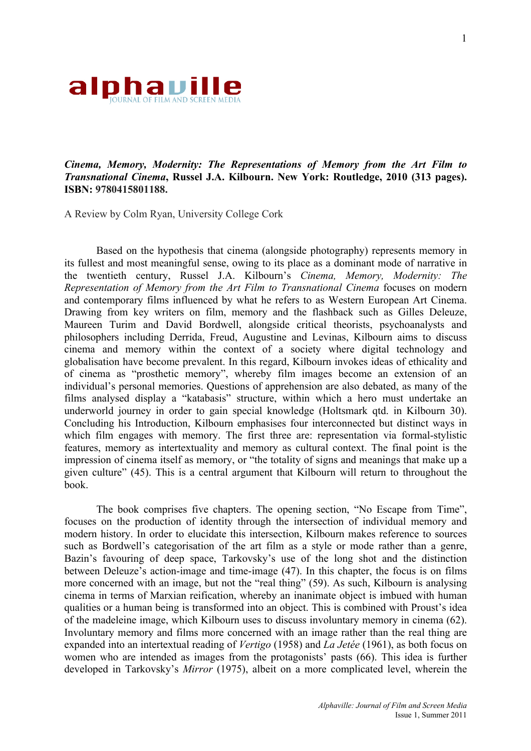

## *Cinema, Memory, Modernity: The Representations of Memory from the Art Film to Transnational Cinema***, Russel J.A. Kilbourn. New York: Routledge, 2010 (313 pages). ISBN: 9780415801188.**

A Review by Colm Ryan, University College Cork

Based on the hypothesis that cinema (alongside photography) represents memory in its fullest and most meaningful sense, owing to its place as a dominant mode of narrative in the twentieth century, Russel J.A. Kilbourn's *Cinema, Memory, Modernity: The Representation of Memory from the Art Film to Transnational Cinema* focuses on modern and contemporary films influenced by what he refers to as Western European Art Cinema. Drawing from key writers on film, memory and the flashback such as Gilles Deleuze, Maureen Turim and David Bordwell, alongside critical theorists, psychoanalysts and philosophers including Derrida, Freud, Augustine and Levinas, Kilbourn aims to discuss cinema and memory within the context of a society where digital technology and globalisation have become prevalent. In this regard, Kilbourn invokes ideas of ethicality and of cinema as "prosthetic memory", whereby film images become an extension of an individual's personal memories. Questions of apprehension are also debated, as many of the films analysed display a "katabasis" structure, within which a hero must undertake an underworld journey in order to gain special knowledge (Holtsmark qtd. in Kilbourn 30). Concluding his Introduction, Kilbourn emphasises four interconnected but distinct ways in which film engages with memory. The first three are: representation via formal-stylistic features, memory as intertextuality and memory as cultural context. The final point is the impression of cinema itself as memory, or "the totality of signs and meanings that make up a given culture" (45). This is a central argument that Kilbourn will return to throughout the book.

The book comprises five chapters. The opening section, "No Escape from Time", focuses on the production of identity through the intersection of individual memory and modern history. In order to elucidate this intersection, Kilbourn makes reference to sources such as Bordwell's categorisation of the art film as a style or mode rather than a genre, Bazin's favouring of deep space, Tarkovsky's use of the long shot and the distinction between Deleuze's action-image and time-image (47). In this chapter, the focus is on films more concerned with an image, but not the "real thing" (59). As such, Kilbourn is analysing cinema in terms of Marxian reification, whereby an inanimate object is imbued with human qualities or a human being is transformed into an object. This is combined with Proust's idea of the madeleine image, which Kilbourn uses to discuss involuntary memory in cinema (62). Involuntary memory and films more concerned with an image rather than the real thing are expanded into an intertextual reading of *Vertigo* (1958) and *La Jetée* (1961), as both focus on women who are intended as images from the protagonists' pasts (66). This idea is further developed in Tarkovsky's *Mirror* (1975), albeit on a more complicated level, wherein the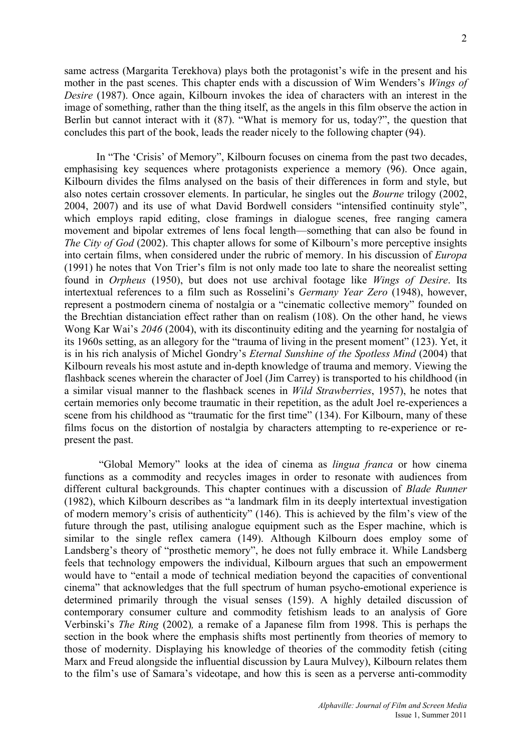same actress (Margarita Terekhova) plays both the protagonist's wife in the present and his mother in the past scenes. This chapter ends with a discussion of Wim Wenders's *Wings of Desire* (1987). Once again, Kilbourn invokes the idea of characters with an interest in the image of something, rather than the thing itself, as the angels in this film observe the action in Berlin but cannot interact with it (87). "What is memory for us, today?", the question that concludes this part of the book, leads the reader nicely to the following chapter (94).

In "The 'Crisis' of Memory", Kilbourn focuses on cinema from the past two decades, emphasising key sequences where protagonists experience a memory (96). Once again, Kilbourn divides the films analysed on the basis of their differences in form and style, but also notes certain crossover elements. In particular, he singles out the *Bourne* trilogy (2002, 2004, 2007) and its use of what David Bordwell considers "intensified continuity style", which employs rapid editing, close framings in dialogue scenes, free ranging camera movement and bipolar extremes of lens focal length—something that can also be found in *The City of God* (2002). This chapter allows for some of Kilbourn's more perceptive insights into certain films, when considered under the rubric of memory. In his discussion of *Europa*  (1991) he notes that Von Trier's film is not only made too late to share the neorealist setting found in *Orpheus* (1950), but does not use archival footage like *Wings of Desire*. Its intertextual references to a film such as Rosselini's *Germany Year Zero* (1948), however, represent a postmodern cinema of nostalgia or a "cinematic collective memory" founded on the Brechtian distanciation effect rather than on realism (108). On the other hand, he views Wong Kar Wai's *2046* (2004), with its discontinuity editing and the yearning for nostalgia of its 1960s setting, as an allegory for the "trauma of living in the present moment" (123). Yet, it is in his rich analysis of Michel Gondry's *Eternal Sunshine of the Spotless Mind* (2004) that Kilbourn reveals his most astute and in-depth knowledge of trauma and memory. Viewing the flashback scenes wherein the character of Joel (Jim Carrey) is transported to his childhood (in a similar visual manner to the flashback scenes in *Wild Strawberries*, 1957), he notes that certain memories only become traumatic in their repetition, as the adult Joel re-experiences a scene from his childhood as "traumatic for the first time" (134). For Kilbourn, many of these films focus on the distortion of nostalgia by characters attempting to re-experience or represent the past.

 "Global Memory" looks at the idea of cinema as *lingua franca* or how cinema functions as a commodity and recycles images in order to resonate with audiences from different cultural backgrounds. This chapter continues with a discussion of *Blade Runner* (1982), which Kilbourn describes as "a landmark film in its deeply intertextual investigation of modern memory's crisis of authenticity" (146). This is achieved by the film's view of the future through the past, utilising analogue equipment such as the Esper machine, which is similar to the single reflex camera (149). Although Kilbourn does employ some of Landsberg's theory of "prosthetic memory", he does not fully embrace it. While Landsberg feels that technology empowers the individual, Kilbourn argues that such an empowerment would have to "entail a mode of technical mediation beyond the capacities of conventional cinema" that acknowledges that the full spectrum of human psycho-emotional experience is determined primarily through the visual senses (159). A highly detailed discussion of contemporary consumer culture and commodity fetishism leads to an analysis of Gore Verbinski's *The Ring* (2002)*,* a remake of a Japanese film from 1998. This is perhaps the section in the book where the emphasis shifts most pertinently from theories of memory to those of modernity. Displaying his knowledge of theories of the commodity fetish (citing Marx and Freud alongside the influential discussion by Laura Mulvey), Kilbourn relates them to the film's use of Samara's videotape, and how this is seen as a perverse anti-commodity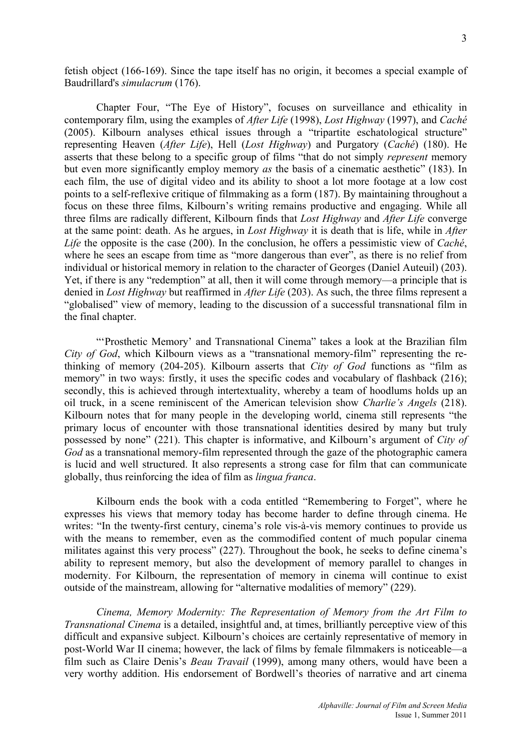fetish object (166-169). Since the tape itself has no origin, it becomes a special example of Baudrillard's *simulacrum* (176).

Chapter Four, "The Eye of History", focuses on surveillance and ethicality in contemporary film, using the examples of *After Life* (1998), *Lost Highway* (1997), and *Caché*  (2005). Kilbourn analyses ethical issues through a "tripartite eschatological structure" representing Heaven (*After Life*), Hell (*Lost Highway*) and Purgatory (*Caché*) (180). He asserts that these belong to a specific group of films "that do not simply *represent* memory but even more significantly employ memory *as* the basis of a cinematic aesthetic" (183). In each film, the use of digital video and its ability to shoot a lot more footage at a low cost points to a self-reflexive critique of filmmaking as a form (187). By maintaining throughout a focus on these three films, Kilbourn's writing remains productive and engaging. While all three films are radically different, Kilbourn finds that *Lost Highway* and *After Life* converge at the same point: death. As he argues, in *Lost Highway* it is death that is life, while in *After Life* the opposite is the case (200). In the conclusion, he offers a pessimistic view of *Caché*, where he sees an escape from time as "more dangerous than ever", as there is no relief from individual or historical memory in relation to the character of Georges (Daniel Auteuil) (203). Yet, if there is any "redemption" at all, then it will come through memory—a principle that is denied in *Lost Highway* but reaffirmed in *After Life* (203). As such, the three films represent a "globalised" view of memory, leading to the discussion of a successful transnational film in the final chapter.

"'Prosthetic Memory' and Transnational Cinema" takes a look at the Brazilian film *City of God*, which Kilbourn views as a "transnational memory-film" representing the rethinking of memory (204-205). Kilbourn asserts that *City of God* functions as "film as memory" in two ways: firstly, it uses the specific codes and vocabulary of flashback (216); secondly, this is achieved through intertextuality, whereby a team of hoodlums holds up an oil truck, in a scene reminiscent of the American television show *Charlie's Angels* (218). Kilbourn notes that for many people in the developing world, cinema still represents "the primary locus of encounter with those transnational identities desired by many but truly possessed by none" (221). This chapter is informative, and Kilbourn's argument of *City of God* as a transnational memory-film represented through the gaze of the photographic camera is lucid and well structured. It also represents a strong case for film that can communicate globally, thus reinforcing the idea of film as *lingua franca*.

Kilbourn ends the book with a coda entitled "Remembering to Forget", where he expresses his views that memory today has become harder to define through cinema. He writes: "In the twenty-first century, cinema's role vis-à-vis memory continues to provide us with the means to remember, even as the commodified content of much popular cinema militates against this very process" (227). Throughout the book, he seeks to define cinema's ability to represent memory, but also the development of memory parallel to changes in modernity. For Kilbourn, the representation of memory in cinema will continue to exist outside of the mainstream, allowing for "alternative modalities of memory" (229).

*Cinema, Memory Modernity: The Representation of Memory from the Art Film to Transnational Cinema* is a detailed, insightful and, at times, brilliantly perceptive view of this difficult and expansive subject. Kilbourn's choices are certainly representative of memory in post-World War II cinema; however, the lack of films by female filmmakers is noticeable—a film such as Claire Denis's *Beau Travail* (1999), among many others, would have been a very worthy addition. His endorsement of Bordwell's theories of narrative and art cinema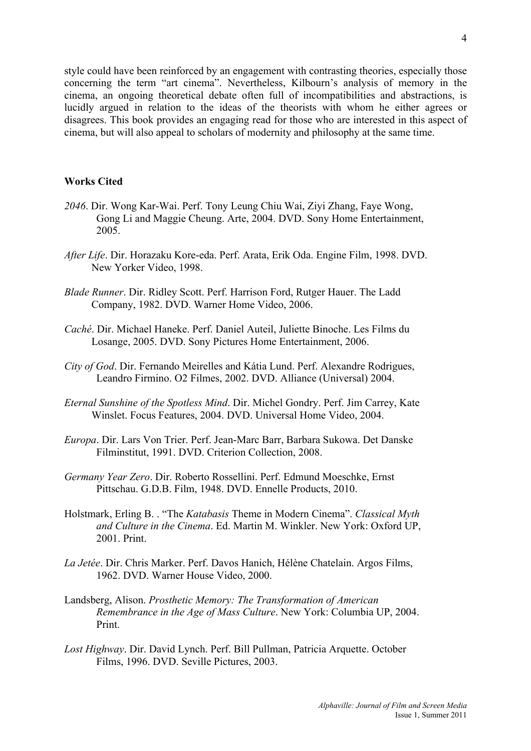style could have been reinforced by an engagement with contrasting theories, especially those concerning the term "art cinema". Nevertheless, Kilbourn's analysis of memory in the cinema, an ongoing theoretical debate often full of incompatibilities and abstractions, is lucidly argued in relation to the ideas of the theorists with whom he either agrees or disagrees. This book provides an engaging read for those who are interested in this aspect of cinema, but will also appeal to scholars of modernity and philosophy at the same time.

## **Works Cited**

- *2046*. Dir. Wong Kar-Wai. Perf. Tony Leung Chiu Wai, Ziyi Zhang, Faye Wong, Gong Li and Maggie Cheung. Arte, 2004. DVD. Sony Home Entertainment, 2005.
- *After Life*. Dir. Horazaku Kore-eda. Perf. Arata, Erik Oda. Engine Film, 1998. DVD. New Yorker Video, 1998.
- *Blade Runner*. Dir. Ridley Scott. Perf. Harrison Ford, Rutger Hauer. The Ladd Company, 1982. DVD. Warner Home Video, 2006.
- *Caché*. Dir. Michael Haneke. Perf. Daniel Auteil, Juliette Binoche. Les Films du Losange, 2005. DVD. Sony Pictures Home Entertainment, 2006.
- *City of God*. Dir. Fernando Meirelles and Kátia Lund. Perf. Alexandre Rodrigues, Leandro Firmino. O2 Filmes, 2002. DVD. Alliance (Universal) 2004.
- *Eternal Sunshine of the Spotless Mind*. Dir. Michel Gondry. Perf. Jim Carrey, Kate Winslet. Focus Features, 2004. DVD. Universal Home Video, 2004.
- *Europa*. Dir. Lars Von Trier. Perf. Jean-Marc Barr, Barbara Sukowa. Det Danske Filminstitut, 1991. DVD. Criterion Collection, 2008.
- *Germany Year Zero*. Dir. Roberto Rossellini. Perf. Edmund Moeschke, Ernst Pittschau. G.D.B. Film, 1948. DVD. Ennelle Products, 2010.
- Holstmark, Erling B. . "The *Katabasis* Theme in Modern Cinema". *Classical Myth and Culture in the Cinema*. Ed. Martin M. Winkler. New York: Oxford UP, 2001. Print.
- *La Jetée*. Dir. Chris Marker. Perf. Davos Hanich, Hélène Chatelain. Argos Films, 1962. DVD. Warner House Video, 2000.
- Landsberg, Alison. *Prosthetic Memory: The Transformation of American Remembrance in the Age of Mass Culture*. New York: Columbia UP, 2004. Print.
- *Lost Highway*. Dir. David Lynch. Perf. Bill Pullman, Patricia Arquette. October Films, 1996. DVD. Seville Pictures, 2003.